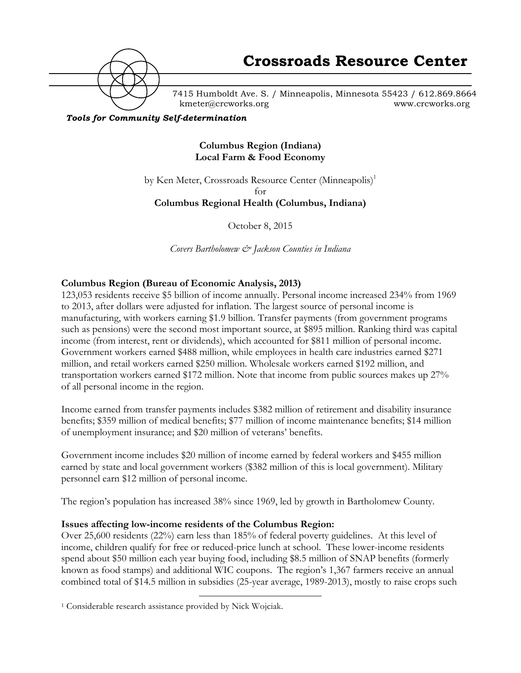

7415 Humboldt Ave. S. / Minneapolis, Minnesota 55423 / 612.869.8664 kmeter@crcworks.org www.crcworks.org

*Tools for Community Self-determination*

**Columbus Region (Indiana) Local Farm & Food Economy**

by Ken Meter, Crossroads Resource Center (Minneapolis)<sup>1</sup> for **Columbus Regional Health (Columbus, Indiana)**

October 8, 2015

*Covers Bartholomew & Jackson Counties in Indiana*

### **Columbus Region (Bureau of Economic Analysis, 2013)**

123,053 residents receive \$5 billion of income annually. Personal income increased 234% from 1969 to 2013, after dollars were adjusted for inflation. The largest source of personal income is manufacturing, with workers earning \$1.9 billion. Transfer payments (from government programs such as pensions) were the second most important source, at \$895 million. Ranking third was capital income (from interest, rent or dividends), which accounted for \$811 million of personal income. Government workers earned \$488 million, while employees in health care industries earned \$271 million, and retail workers earned \$250 million. Wholesale workers earned \$192 million, and transportation workers earned \$172 million. Note that income from public sources makes up 27% of all personal income in the region.

Income earned from transfer payments includes \$382 million of retirement and disability insurance benefits; \$359 million of medical benefits; \$77 million of income maintenance benefits; \$14 million of unemployment insurance; and \$20 million of veterans' benefits.

Government income includes \$20 million of income earned by federal workers and \$455 million earned by state and local government workers (\$382 million of this is local government). Military personnel earn \$12 million of personal income.

The region's population has increased 38% since 1969, led by growth in Bartholomew County.

### **Issues affecting low-income residents of the Columbus Region:**

Over 25,600 residents (22%) earn less than 185% of federal poverty guidelines. At this level of income, children qualify for free or reduced-price lunch at school. These lower-income residents spend about \$50 million each year buying food, including \$8.5 million of SNAP benefits (formerly known as food stamps) and additional WIC coupons. The region's 1,367 farmers receive an annual combined total of \$14.5 million in subsidies (25-year average, 1989-2013), mostly to raise crops such

 <sup>1</sup> Considerable research assistance provided by Nick Wojciak.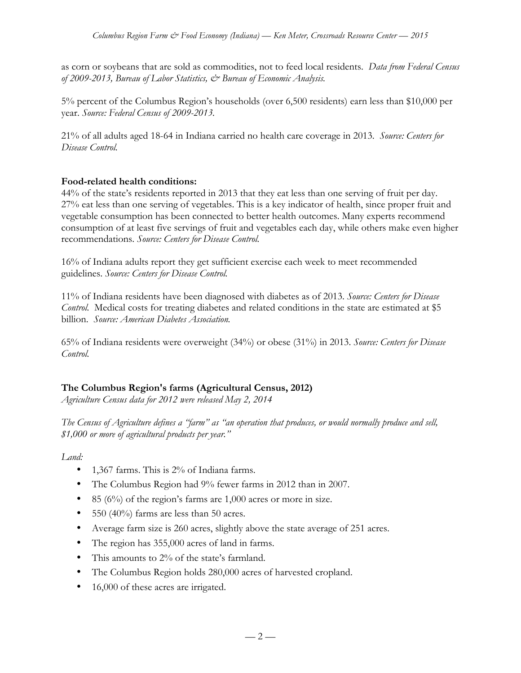as corn or soybeans that are sold as commodities, not to feed local residents. *Data from Federal Census of 2009-2013, Bureau of Labor Statistics, & Bureau of Economic Analysis.*

5% percent of the Columbus Region's households (over 6,500 residents) earn less than \$10,000 per year. *Source: Federal Census of 2009-2013.*

21% of all adults aged 18-64 in Indiana carried no health care coverage in 2013. *Source: Centers for Disease Control.*

### **Food-related health conditions:**

44% of the state's residents reported in 2013 that they eat less than one serving of fruit per day. 27% eat less than one serving of vegetables. This is a key indicator of health, since proper fruit and vegetable consumption has been connected to better health outcomes. Many experts recommend consumption of at least five servings of fruit and vegetables each day, while others make even higher recommendations. *Source: Centers for Disease Control.*

16% of Indiana adults report they get sufficient exercise each week to meet recommended guidelines. *Source: Centers for Disease Control.*

11% of Indiana residents have been diagnosed with diabetes as of 2013. *Source: Centers for Disease Control.* Medical costs for treating diabetes and related conditions in the state are estimated at \$5 billion. *Source: American Diabetes Association.*

65% of Indiana residents were overweight (34%) or obese (31%) in 2013. *Source: Centers for Disease Control.*

## **The Columbus Region's farms (Agricultural Census, 2012)**

*Agriculture Census data for 2012 were released May 2, 2014*

*The Census of Agriculture defines a "farm" as "an operation that produces, or would normally produce and sell, \$1,000 or more of agricultural products per year."*

*Land:*

- 1,367 farms. This is 2% of Indiana farms.
- The Columbus Region had 9% fewer farms in 2012 than in 2007.
- 85 (6%) of the region's farms are 1,000 acres or more in size.
- 550 (40%) farms are less than 50 acres.
- Average farm size is 260 acres, slightly above the state average of 251 acres.
- The region has 355,000 acres of land in farms.
- This amounts to 2% of the state's farmland.
- The Columbus Region holds 280,000 acres of harvested cropland.
- 16,000 of these acres are irrigated.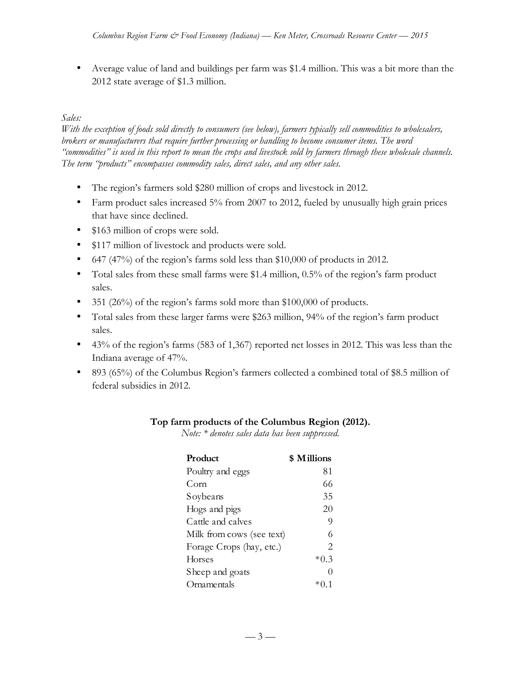• Average value of land and buildings per farm was \$1.4 million. This was a bit more than the 2012 state average of \$1.3 million.

## *Sales:*

*With the exception of foods sold directly to consumers (see below), farmers typically sell commodities to wholesalers, brokers or manufacturers that require further processing or handling to become consumer items. The word "commodities" is used in this report to mean the crops and livestock sold by farmers through these wholesale channels. The term "products" encompasses commodity sales, direct sales, and any other sales.* 

- The region's farmers sold \$280 million of crops and livestock in 2012.
- Farm product sales increased 5% from 2007 to 2012, fueled by unusually high grain prices that have since declined.
- \$163 million of crops were sold.
- \$117 million of livestock and products were sold.
- 647 (47%) of the region's farms sold less than \$10,000 of products in 2012.
- Total sales from these small farms were \$1.4 million, 0.5% of the region's farm product sales.
- 351 (26%) of the region's farms sold more than \$100,000 of products.
- Total sales from these larger farms were \$263 million, 94% of the region's farm product sales.
- 43% of the region's farms (583 of 1,367) reported net losses in 2012. This was less than the Indiana average of 47%.
- 893 (65%) of the Columbus Region's farmers collected a combined total of \$8.5 million of federal subsidies in 2012.

### **Top farm products of the Columbus Region (2012).**

*Note: \* denotes sales data has been suppressed.*

| Product                   | \$ Millions                 |
|---------------------------|-----------------------------|
| Poultry and eggs          | 81                          |
| Corn                      | 66                          |
| Soybeans                  | 35                          |
| Hogs and pigs             | 20                          |
| Cattle and calves         | 9                           |
| Milk from cows (see text) | 6                           |
| Forage Crops (hay, etc.)  | $\mathcal{D}_{\mathcal{L}}$ |
| Horses                    | $*03$                       |
| Sheep and goats           | $\left( \right)$            |
| )mamentals                |                             |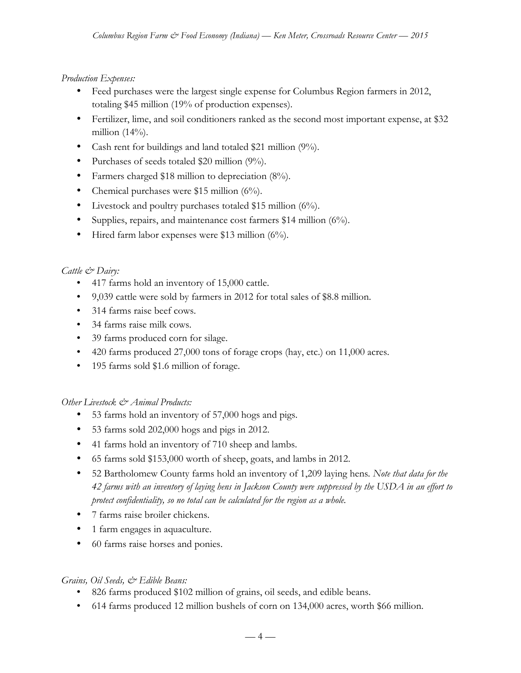### *Production Expenses:*

- Feed purchases were the largest single expense for Columbus Region farmers in 2012, totaling \$45 million (19% of production expenses).
- Fertilizer, lime, and soil conditioners ranked as the second most important expense, at \$32 million  $(14%)$ .
- Cash rent for buildings and land totaled \$21 million (9%).
- Purchases of seeds totaled \$20 million (9%).
- Farmers charged \$18 million to depreciation (8%).
- Chemical purchases were \$15 million (6%).
- Livestock and poultry purchases totaled \$15 million (6%).
- Supplies, repairs, and maintenance cost farmers \$14 million (6%).
- Hired farm labor expenses were \$13 million (6%).

# *Cattle & Dairy:*

- 417 farms hold an inventory of 15,000 cattle.
- 9,039 cattle were sold by farmers in 2012 for total sales of \$8.8 million.
- 314 farms raise beef cows.
- 34 farms raise milk cows.
- 39 farms produced corn for silage.
- 420 farms produced 27,000 tons of forage crops (hay, etc.) on 11,000 acres.
- 195 farms sold \$1.6 million of forage.

## *Other Livestock & Animal Products:*

- 53 farms hold an inventory of 57,000 hogs and pigs.
- 53 farms sold 202,000 hogs and pigs in 2012.
- 41 farms hold an inventory of 710 sheep and lambs.
- 65 farms sold \$153,000 worth of sheep, goats, and lambs in 2012.
- 52 Bartholomew County farms hold an inventory of 1,209 laying hens*. Note that data for the 42 farms with an inventory of laying hens in Jackson County were suppressed by the USDA in an effort to protect confidentiality, so no total can be calculated for the region as a whole.*
- 7 farms raise broiler chickens.
- 1 farm engages in aquaculture.
- 60 farms raise horses and ponies.

## *Grains, Oil Seeds, & Edible Beans:*

- 826 farms produced \$102 million of grains, oil seeds, and edible beans.
- 614 farms produced 12 million bushels of corn on 134,000 acres, worth \$66 million.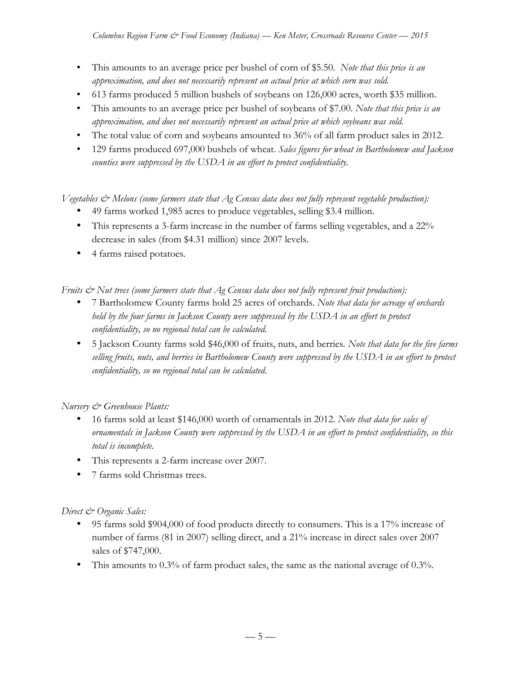- This amounts to an average price per bushel of corn of \$5.50. *Note that this price is an approximation, and does not necessarily represent an actual price at which corn was sold.*
- 613 farms produced 5 million bushels of soybeans on 126,000 acres, worth \$35 million.
- This amounts to an average price per bushel of soybeans of \$7.00. *Note that this price is an approximation, and does not necessarily represent an actual price at which soybeans was sold.*
- The total value of corn and soybeans amounted to 36% of all farm product sales in 2012.
- 129 farms produced 697,000 bushels of wheat. *Sales figures for wheat in Bartholomew and Jackson counties were suppressed by the USDA in an effort to protect confidentiality.*

*Vegetables & Melons (some farmers state that Ag Census data does not fully represent vegetable production):*

- 49 farms worked 1,985 acres to produce vegetables, selling \$3.4 million.
- This represents a 3-farm increase in the number of farms selling vegetables, and a 22% decrease in sales (from \$4.31 million) since 2007 levels.
- 4 farms raised potatoes*.*

*Fruits & Nut trees (some farmers state that Ag Census data does not fully represent fruit production):*

- 7 Bartholomew County farms hold 25 acres of orchards. *Note that data for acreage of orchards held by the four farms in Jackson County were suppressed by the USDA in an effort to protect confidentiality, so no regional total can be calculated.*
- 5 Jackson County farms sold \$46,000 of fruits, nuts, and berries*. Note that data for the five farms selling fruits, nuts, and berries in Bartholomew County were suppressed by the USDA in an effort to protect confidentiality, so no regional total can be calculated.*

*Nursery & Greenhouse Plants:*

- 16 farms sold at least \$146,000 worth of ornamentals in 2012. *Note that data for sales of ornamentals in Jackson County were suppressed by the USDA in an effort to protect confidentiality, so this total is incomplete.*
- This represents a 2-farm increase over 2007.
- 7 farms sold Christmas trees.

## *Direct & Organic Sales:*

- 95 farms sold \$904,000 of food products directly to consumers. This is a 17% increase of number of farms (81 in 2007) selling direct, and a 21% increase in direct sales over 2007 sales of \$747,000.
- This amounts to 0.3% of farm product sales, the same as the national average of 0.3%.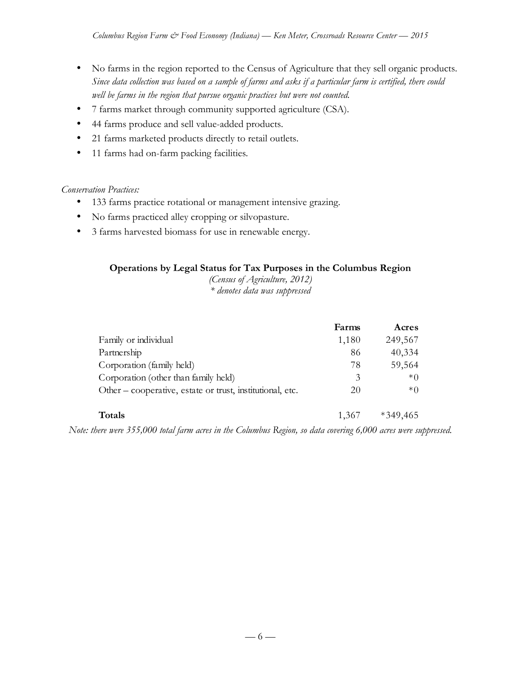- No farms in the region reported to the Census of Agriculture that they sell organic products. *Since data collection was based on a sample of farms and asks if a particular farm is certified, there could well be farms in the region that pursue organic practices but were not counted.*
- 7 farms market through community supported agriculture (CSA).
- 44 farms produce and sell value-added products.
- 21 farms marketed products directly to retail outlets.
- 11 farms had on-farm packing facilities*.*

#### *Conservation Practices:*

- 133 farms practice rotational or management intensive grazing.
- No farms practiced alley cropping or silvopasture.
- 3 farms harvested biomass for use in renewable energy.

### **Operations by Legal Status for Tax Purposes in the Columbus Region**

*(Census of Agriculture, 2012) \* denotes data was suppressed*

|                                                           | Farms | Acres      |
|-----------------------------------------------------------|-------|------------|
| Family or individual                                      | 1,180 | 249,567    |
| Partnership                                               | 86    | 40,334     |
| Corporation (family held)                                 | 78    | 59,564     |
| Corporation (other than family held)                      |       | $*$ ()     |
| Other – cooperative, estate or trust, institutional, etc. | 20    | $*0$       |
| Totals                                                    | 1,367 | $*349,465$ |

*Note: there were 355,000 total farm acres in the Columbus Region, so data covering 6,000 acres were suppressed.*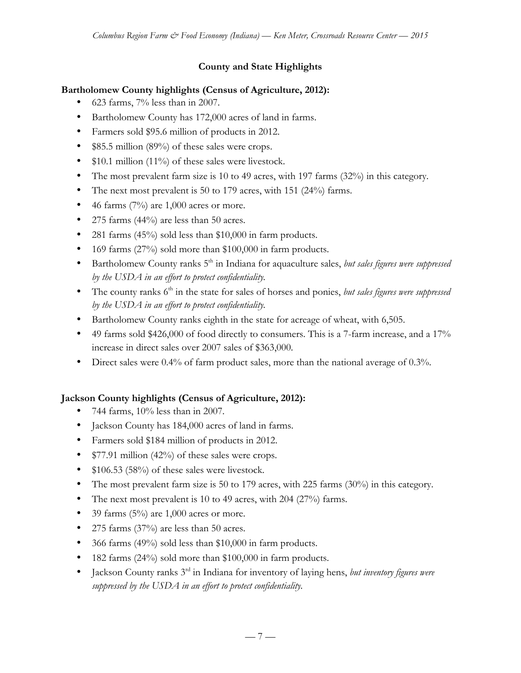## **County and State Highlights**

### **Bartholomew County highlights (Census of Agriculture, 2012):**

- 623 farms, 7% less than in 2007.
- Bartholomew County has 172,000 acres of land in farms.
- Farmers sold \$95.6 million of products in 2012.
- \$85.5 million (89%) of these sales were crops.
- \$10.1 million (11%) of these sales were livestock.
- The most prevalent farm size is 10 to 49 acres, with 197 farms (32%) in this category.
- The next most prevalent is 50 to 179 acres, with 151 (24%) farms.
- 46 farms  $(7%)$  are 1,000 acres or more.
- 275 farms (44%) are less than 50 acres.
- 281 farms (45%) sold less than \$10,000 in farm products.
- 169 farms (27%) sold more than \$100,000 in farm products.
- Bartholomew County ranks 5<sup>th</sup> in Indiana for aquaculture sales, *but sales figures were suppressed by the USDA in an effort to protect confidentiality.*
- The county ranks 6<sup>th</sup> in the state for sales of horses and ponies, *but sales figures were suppressed by the USDA in an effort to protect confidentiality.*
- Bartholomew County ranks eighth in the state for acreage of wheat, with 6,505.
- 49 farms sold \$426,000 of food directly to consumers. This is a 7-farm increase, and a 17% increase in direct sales over 2007 sales of \$363,000.
- Direct sales were 0.4% of farm product sales, more than the national average of 0.3%.

# **Jackson County highlights (Census of Agriculture, 2012):**

- 744 farms, 10% less than in 2007.
- Jackson County has 184,000 acres of land in farms.
- Farmers sold \$184 million of products in 2012.
- \$77.91 million (42%) of these sales were crops.
- \$106.53 (58%) of these sales were livestock.
- The most prevalent farm size is 50 to 179 acres, with 225 farms (30%) in this category.
- The next most prevalent is 10 to 49 acres, with 204 (27%) farms.
- 39 farms  $(5\%)$  are 1,000 acres or more.
- 275 farms (37%) are less than 50 acres.
- 366 farms (49%) sold less than \$10,000 in farm products.
- 182 farms (24%) sold more than \$100,000 in farm products.
- Jackson County ranks 3rd in Indiana for inventory of laying hens, *but inventory figures were suppressed by the USDA in an effort to protect confidentiality.*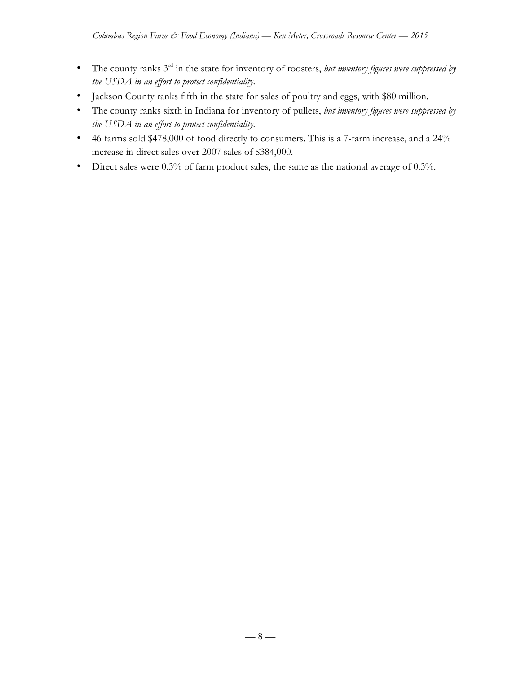- The county ranks 3rd in the state for inventory of roosters, *but inventory figures were suppressed by the USDA in an effort to protect confidentiality.*
- Jackson County ranks fifth in the state for sales of poultry and eggs, with \$80 million.
- The county ranks sixth in Indiana for inventory of pullets, *but inventory figures were suppressed by the USDA in an effort to protect confidentiality.*
- 46 farms sold \$478,000 of food directly to consumers. This is a 7-farm increase, and a 24% increase in direct sales over 2007 sales of \$384,000.
- Direct sales were 0.3% of farm product sales, the same as the national average of 0.3%.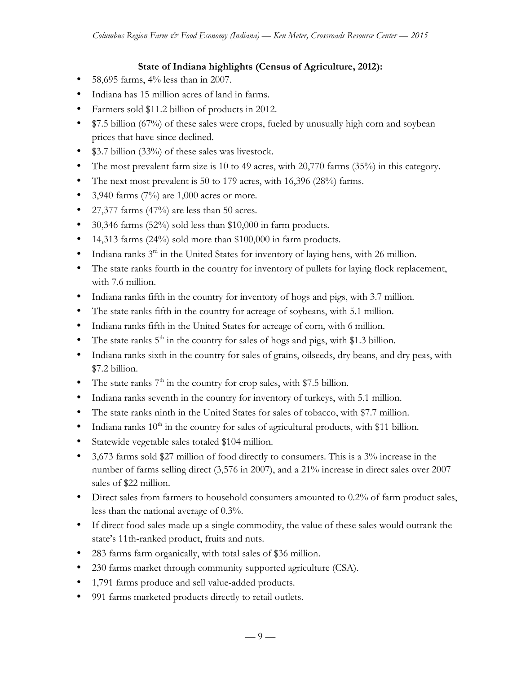### **State of Indiana highlights (Census of Agriculture, 2012):**

- 58,695 farms, 4% less than in 2007.
- Indiana has 15 million acres of land in farms.
- Farmers sold \$11.2 billion of products in 2012.
- \$7.5 billion (67%) of these sales were crops, fueled by unusually high corn and soybean prices that have since declined.
- \$3.7 billion (33%) of these sales was livestock.
- The most prevalent farm size is 10 to 49 acres, with 20,770 farms (35%) in this category.
- The next most prevalent is 50 to 179 acres, with 16,396 (28%) farms.
- 3,940 farms  $(7%)$  are 1,000 acres or more.
- 27,377 farms (47%) are less than 50 acres.
- 30,346 farms (52%) sold less than \$10,000 in farm products.
- 14,313 farms (24%) sold more than \$100,000 in farm products.
- Indiana ranks  $3<sup>rd</sup>$  in the United States for inventory of laying hens, with 26 million.
- The state ranks fourth in the country for inventory of pullets for laying flock replacement, with 7.6 million.
- Indiana ranks fifth in the country for inventory of hogs and pigs, with 3.7 million.
- The state ranks fifth in the country for acreage of soybeans, with 5.1 million.
- Indiana ranks fifth in the United States for acreage of corn, with 6 million.
- The state ranks  $5<sup>th</sup>$  in the country for sales of hogs and pigs, with \$1.3 billion.
- Indiana ranks sixth in the country for sales of grains, oilseeds, dry beans, and dry peas, with \$7.2 billion.
- The state ranks  $7<sup>th</sup>$  in the country for crop sales, with \$7.5 billion.
- Indiana ranks seventh in the country for inventory of turkeys, with 5.1 million.
- The state ranks ninth in the United States for sales of tobacco, with \$7.7 million.
- Indiana ranks  $10^{th}$  in the country for sales of agricultural products, with \$11 billion.
- Statewide vegetable sales totaled \$104 million.
- 3,673 farms sold \$27 million of food directly to consumers. This is a 3% increase in the number of farms selling direct (3,576 in 2007), and a 21% increase in direct sales over 2007 sales of \$22 million.
- Direct sales from farmers to household consumers amounted to 0.2% of farm product sales, less than the national average of 0.3%.
- If direct food sales made up a single commodity, the value of these sales would outrank the state's 11th-ranked product, fruits and nuts.
- 283 farms farm organically, with total sales of \$36 million.
- 230 farms market through community supported agriculture (CSA).
- 1,791 farms produce and sell value-added products.
- 991 farms marketed products directly to retail outlets.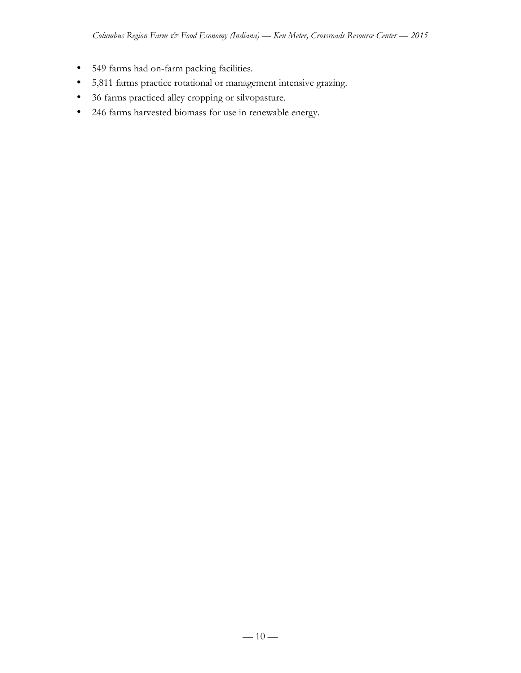- 549 farms had on-farm packing facilities.
- 5,811 farms practice rotational or management intensive grazing.
- 36 farms practiced alley cropping or silvopasture.
- 246 farms harvested biomass for use in renewable energy.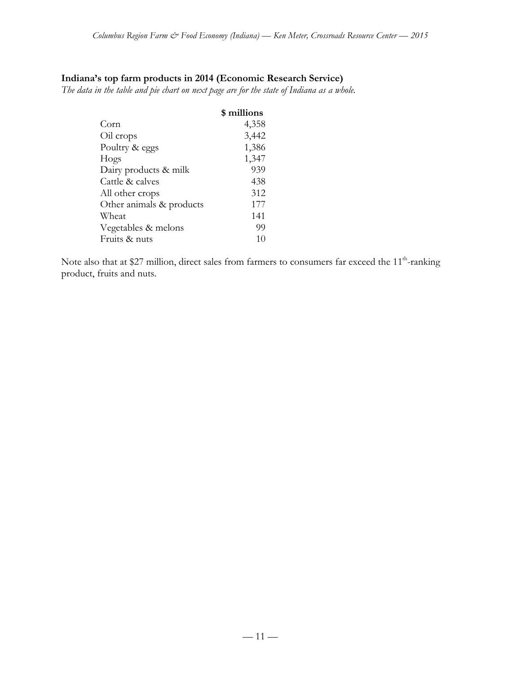# **Indiana's top farm products in 2014 (Economic Research Service)**

*The data in the table and pie chart on next page are for the state of Indiana as a whole.*

|                          | \$ millions |
|--------------------------|-------------|
| Corn                     | 4,358       |
| Oil crops                | 3,442       |
| Poultry & eggs           | 1,386       |
| Hogs                     | 1,347       |
| Dairy products & milk    | 939         |
| Cattle & calves          | 438         |
| All other crops          | 312         |
| Other animals & products | 177         |
| Wheat                    | 141         |
| Vegetables & melons      | 99          |
| Fruits & nuts            |             |

Note also that at \$27 million, direct sales from farmers to consumers far exceed the 11<sup>th</sup>-ranking product, fruits and nuts.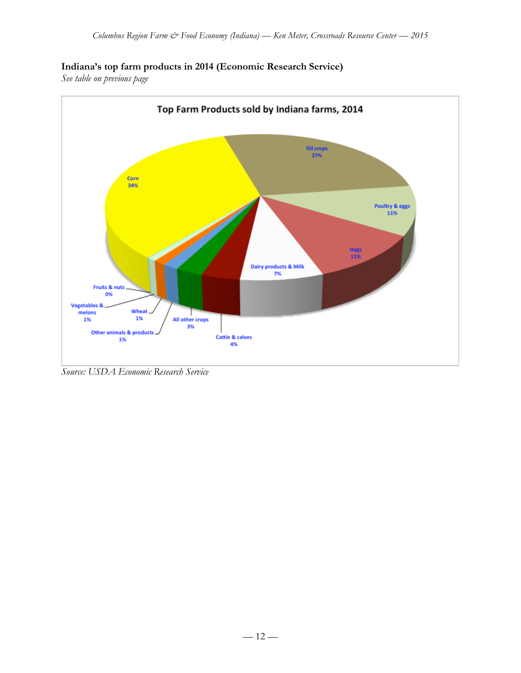# **Indiana's top farm products in 2014 (Economic Research Service)**

*See table on previous page*



*Source: USDA Economic Research Service*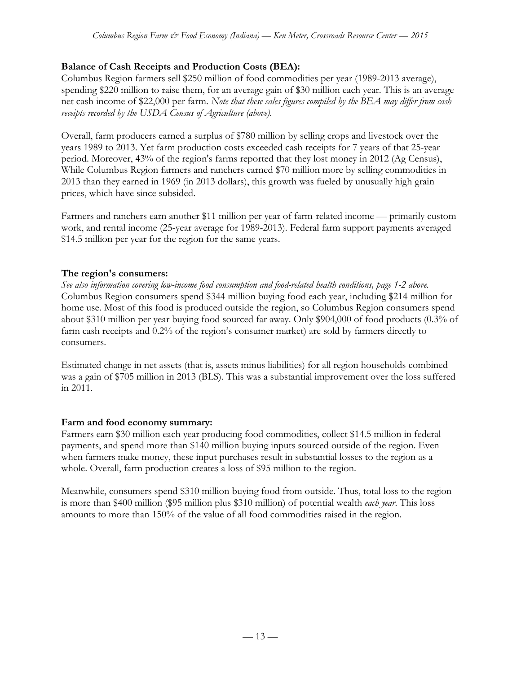## **Balance of Cash Receipts and Production Costs (BEA):**

Columbus Region farmers sell \$250 million of food commodities per year (1989-2013 average), spending \$220 million to raise them, for an average gain of \$30 million each year. This is an average net cash income of \$22,000 per farm. *Note that these sales figures compiled by the BEA may differ from cash receipts recorded by the USDA Census of Agriculture (above).*

Overall, farm producers earned a surplus of \$780 million by selling crops and livestock over the years 1989 to 2013. Yet farm production costs exceeded cash receipts for 7 years of that 25-year period. Moreover, 43% of the region's farms reported that they lost money in 2012 (Ag Census), While Columbus Region farmers and ranchers earned \$70 million more by selling commodities in 2013 than they earned in 1969 (in 2013 dollars), this growth was fueled by unusually high grain prices, which have since subsided.

Farmers and ranchers earn another \$11 million per year of farm-related income — primarily custom work, and rental income (25-year average for 1989-2013). Federal farm support payments averaged \$14.5 million per year for the region for the same years.

## **The region's consumers:**

*See also information covering low-income food consumption and food-related health conditions, page 1-2 above.* Columbus Region consumers spend \$344 million buying food each year, including \$214 million for home use. Most of this food is produced outside the region, so Columbus Region consumers spend about \$310 million per year buying food sourced far away. Only \$904,000 of food products (0.3% of farm cash receipts and 0.2% of the region's consumer market) are sold by farmers directly to consumers.

Estimated change in net assets (that is, assets minus liabilities) for all region households combined was a gain of \$705 million in 2013 (BLS). This was a substantial improvement over the loss suffered in 2011.

## **Farm and food economy summary:**

Farmers earn \$30 million each year producing food commodities, collect \$14.5 million in federal payments, and spend more than \$140 million buying inputs sourced outside of the region. Even when farmers make money, these input purchases result in substantial losses to the region as a whole. Overall, farm production creates a loss of \$95 million to the region.

Meanwhile, consumers spend \$310 million buying food from outside. Thus, total loss to the region is more than \$400 million (\$95 million plus \$310 million) of potential wealth *each year*. This loss amounts to more than 150% of the value of all food commodities raised in the region.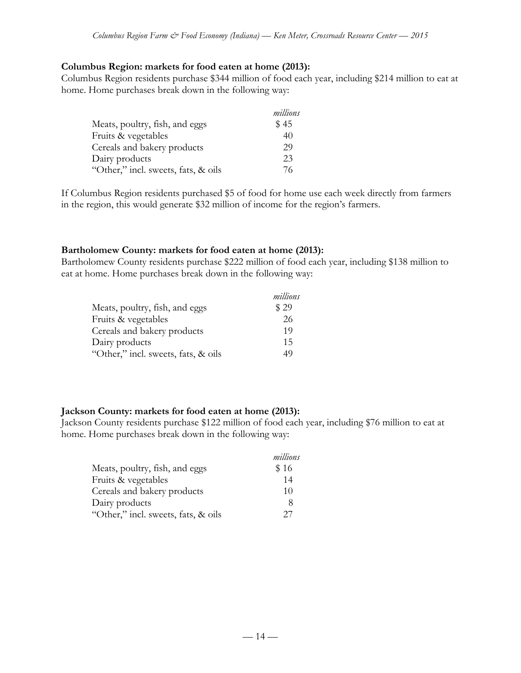#### **Columbus Region: markets for food eaten at home (2013):**

Columbus Region residents purchase \$344 million of food each year, including \$214 million to eat at home. Home purchases break down in the following way:

|                                     | millions |
|-------------------------------------|----------|
| Meats, poultry, fish, and eggs      | \$45     |
| Fruits & vegetables                 | 40       |
| Cereals and bakery products         | 29       |
| Dairy products                      | 23       |
| "Other," incl. sweets, fats, & oils | 76       |

If Columbus Region residents purchased \$5 of food for home use each week directly from farmers in the region, this would generate \$32 million of income for the region's farmers.

### **Bartholomew County: markets for food eaten at home (2013):**

Bartholomew County residents purchase \$222 million of food each year, including \$138 million to eat at home. Home purchases break down in the following way:

|                                     | millions |
|-------------------------------------|----------|
| Meats, poultry, fish, and eggs      | \$29     |
| Fruits & vegetables                 | 26       |
| Cereals and bakery products         | 19       |
| Dairy products                      | 15       |
| "Other," incl. sweets, fats, & oils | 49       |

### **Jackson County: markets for food eaten at home (2013):**

Jackson County residents purchase \$122 million of food each year, including \$76 million to eat at home. Home purchases break down in the following way:

|                                     | millions |
|-------------------------------------|----------|
| Meats, poultry, fish, and eggs      | \$16     |
| Fruits & vegetables                 | 14       |
| Cereals and bakery products         | 10       |
| Dairy products                      | 8        |
| "Other," incl. sweets, fats, & oils | 27       |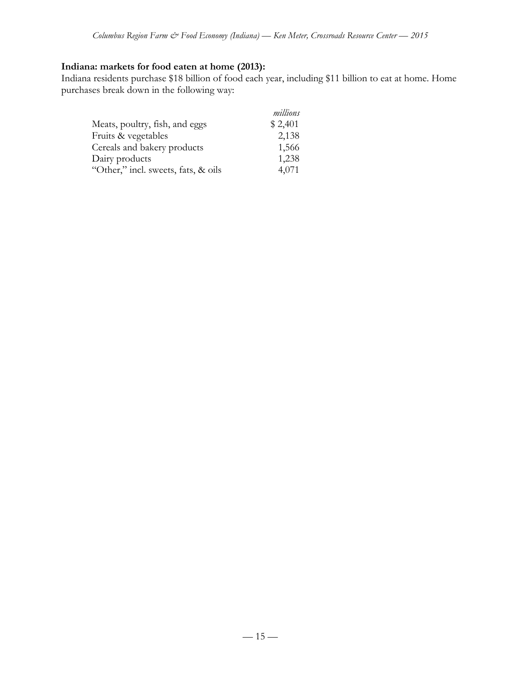# **Indiana: markets for food eaten at home (2013):**

Indiana residents purchase \$18 billion of food each year, including \$11 billion to eat at home. Home purchases break down in the following way:

|                                     | millions |
|-------------------------------------|----------|
| Meats, poultry, fish, and eggs      | \$2,401  |
| Fruits & vegetables                 | 2,138    |
| Cereals and bakery products         | 1,566    |
| Dairy products                      | 1,238    |
| "Other," incl. sweets, fats, & oils | 4,071    |